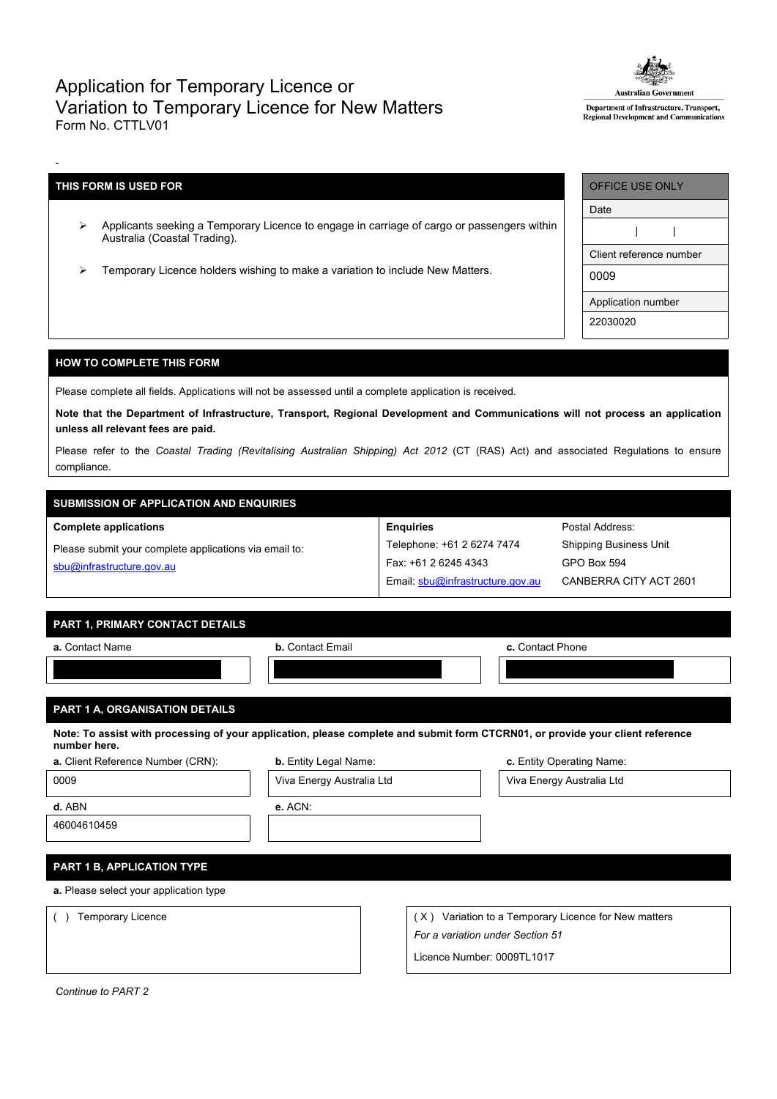## Application for Temporary Licence or Variation to Temporary Licence for New Matters Form No. CTTLV01



Department of Infrastructure, Transport, Regional Development and Communications

## **THIS FORM IS USED FOR**

-

- Applicants seeking a Temporary Licence to engage in carriage of cargo or passengers within Australia (Coastal Trading).
- Temporary Licence holders wishing to make a variation to include New Matters.

| OFFICE USE ONLY         |  |  |  |  |  |
|-------------------------|--|--|--|--|--|
| Date                    |  |  |  |  |  |
|                         |  |  |  |  |  |
| Client reference number |  |  |  |  |  |
| 0009                    |  |  |  |  |  |
| Application number      |  |  |  |  |  |
| 22030020                |  |  |  |  |  |

#### **HOW TO COMPLETE THIS FORM**

Please complete all fields. Applications will not be assessed until a complete application is received.

Note that the Department of Infrastructure, Transport, Regional Development and Communications will not process an application **unless all relevant fees are paid.**

Please refer to the *Coastal Trading (Revitalising Australian Shipping) Act 2012* (CT (RAS) Act) and associated Regulations to ensure compliance.

# **SUBMISSION OF APPLICATION AND ENQUIRIES**

**Complete applications**

| Please submit your complete applications via email to: |  |
|--------------------------------------------------------|--|
| sbu@infrastructure.gov.au                              |  |

| <b>Enguiries</b>                 |
|----------------------------------|
| Telephone: +61 2 6274 7474       |
| Fax: +61 2 6245 4343             |
| Email: sbu@infrastructure.gov.au |

Postal Address: Shipping Business Unit GPO Box 594 CANBERRA CITY ACT 2601

#### **PART 1, PRIMARY CONTACT DETAILS**

| a. Contact Name | <b>b.</b> Contact Email | c. Contact Phone |  |  |
|-----------------|-------------------------|------------------|--|--|
|                 |                         |                  |  |  |
|                 |                         |                  |  |  |

## **PART 1 A, ORGANISATION DETAILS**

Note: To assist with processing of your application, please complete and submit form CTCRN01, or provide your client reference **number here.**

| a. Client Reference Number (CRN):      | <b>b.</b> Entity Legal Name: |     | c. Entity Operating Name:                        |  |  |  |
|----------------------------------------|------------------------------|-----|--------------------------------------------------|--|--|--|
| 0009                                   | Viva Energy Australia Ltd    |     | Viva Energy Australia Ltd                        |  |  |  |
| d. ABN                                 | e. ACN:                      |     |                                                  |  |  |  |
| 46004610459                            |                              |     |                                                  |  |  |  |
|                                        |                              |     |                                                  |  |  |  |
| PART 1 B, APPLICATION TYPE             |                              |     |                                                  |  |  |  |
| a. Please select your application type |                              |     |                                                  |  |  |  |
| <b>Temporary Licence</b>               |                              | (X) | Variation to a Temporary Licence for New matters |  |  |  |
|                                        |                              |     | For a variation under Section 51                 |  |  |  |
|                                        |                              |     | Licence Number: 0009TL1017                       |  |  |  |

*Continue to PART 2*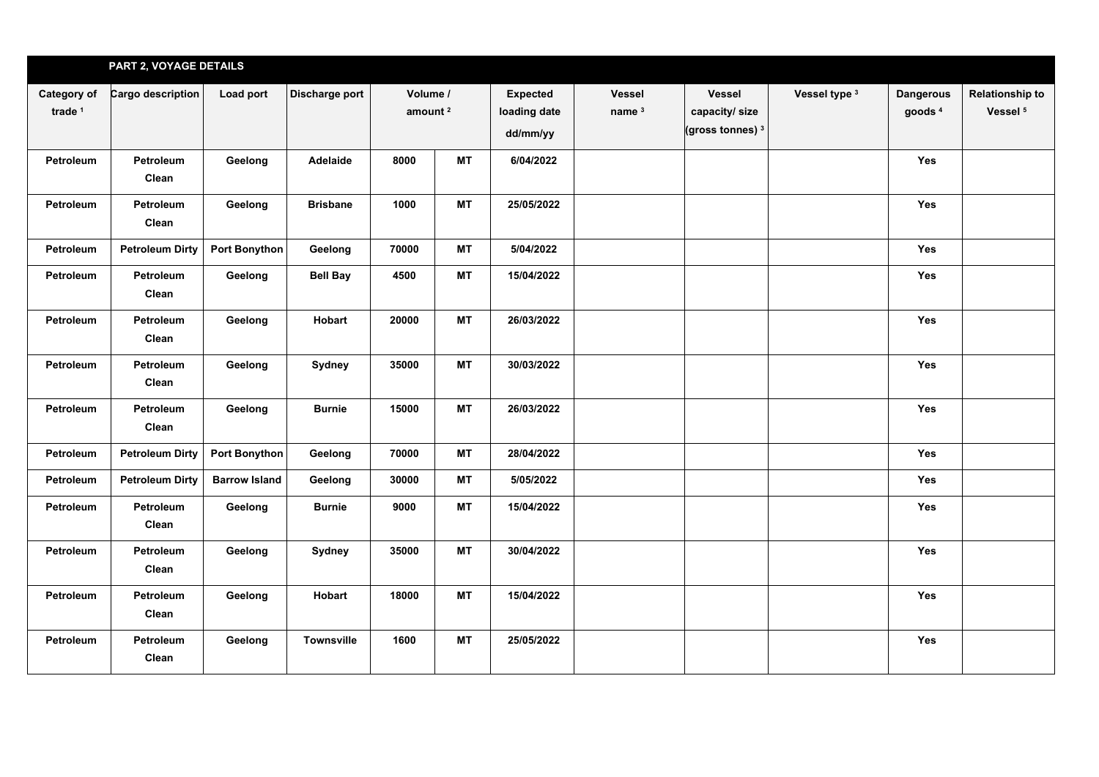|                          | PART 2, VOYAGE DETAILS    |                      |                 |                                 |           |                                             |                                    |                                                               |               |                                        |                                               |
|--------------------------|---------------------------|----------------------|-----------------|---------------------------------|-----------|---------------------------------------------|------------------------------------|---------------------------------------------------------------|---------------|----------------------------------------|-----------------------------------------------|
| Category of<br>trade $1$ | Cargo description         | Load port            | Discharge port  | Volume /<br>amount <sup>2</sup> |           | <b>Expected</b><br>loading date<br>dd/mm/yy | <b>Vessel</b><br>name <sup>3</sup> | <b>Vessel</b><br>capacity/size<br>(gross tonnes) <sup>3</sup> | Vessel type 3 | <b>Dangerous</b><br>goods <sup>4</sup> | <b>Relationship to</b><br>Vessel <sup>5</sup> |
| <b>Petroleum</b>         | <b>Petroleum</b><br>Clean | Geelong              | Adelaide        | 8000                            | <b>MT</b> | 6/04/2022                                   |                                    |                                                               |               | <b>Yes</b>                             |                                               |
| Petroleum                | Petroleum<br>Clean        | Geelong              | <b>Brisbane</b> | 1000                            | <b>MT</b> | 25/05/2022                                  |                                    |                                                               |               | Yes                                    |                                               |
| Petroleum                | <b>Petroleum Dirty</b>    | Port Bonython        | Geelong         | 70000                           | <b>MT</b> | 5/04/2022                                   |                                    |                                                               |               | Yes                                    |                                               |
| <b>Petroleum</b>         | Petroleum<br>Clean        | Geelong              | <b>Bell Bay</b> | 4500                            | <b>MT</b> | 15/04/2022                                  |                                    |                                                               |               | Yes                                    |                                               |
| Petroleum                | Petroleum<br>Clean        | Geelong              | Hobart          | 20000                           | <b>MT</b> | 26/03/2022                                  |                                    |                                                               |               | Yes                                    |                                               |
| Petroleum                | Petroleum<br>Clean        | Geelong              | Sydney          | 35000                           | <b>MT</b> | 30/03/2022                                  |                                    |                                                               |               | Yes                                    |                                               |
| Petroleum                | Petroleum<br>Clean        | Geelong              | <b>Burnie</b>   | 15000                           | <b>MT</b> | 26/03/2022                                  |                                    |                                                               |               | Yes                                    |                                               |
| Petroleum                | <b>Petroleum Dirty</b>    | <b>Port Bonython</b> | Geelong         | 70000                           | <b>MT</b> | 28/04/2022                                  |                                    |                                                               |               | <b>Yes</b>                             |                                               |
| <b>Petroleum</b>         | <b>Petroleum Dirty</b>    | <b>Barrow Island</b> | Geelong         | 30000                           | <b>MT</b> | 5/05/2022                                   |                                    |                                                               |               | Yes                                    |                                               |
| Petroleum                | Petroleum<br>Clean        | Geelong              | <b>Burnie</b>   | 9000                            | <b>MT</b> | 15/04/2022                                  |                                    |                                                               |               | Yes                                    |                                               |
| Petroleum                | Petroleum<br>Clean        | Geelong              | Sydney          | 35000                           | <b>MT</b> | 30/04/2022                                  |                                    |                                                               |               | Yes                                    |                                               |
| Petroleum                | Petroleum<br>Clean        | Geelong              | Hobart          | 18000                           | <b>MT</b> | 15/04/2022                                  |                                    |                                                               |               | Yes                                    |                                               |
| Petroleum                | Petroleum<br>Clean        | Geelong              | Townsville      | 1600                            | MT        | 25/05/2022                                  |                                    |                                                               |               | Yes                                    |                                               |